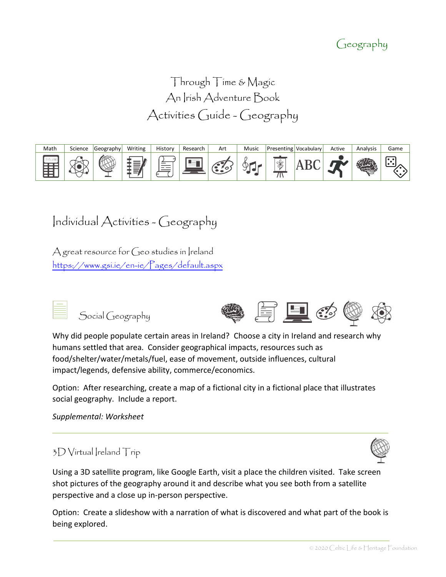### Geography

Through Time & Magic An Irish Adventure Book Activities Guide - Geography



## Individual Activities - Geography

A great resource for  $G$ eo studies in Ireland <https://www.gsi.ie/en-ie/Pages/default.aspx>



Why did people populate certain areas in Ireland? Choose a city in Ireland and research why humans settled that area. Consider geographical impacts, resources such as food/shelter/water/metals/fuel, ease of movement, outside influences, cultural impact/legends, defensive ability, commerce/economics.

Option: After researching, create a map of a fictional city in a fictional place that illustrates social geography. Include a report.

#### *Supplemental: Worksheet*

### $3D$  Virtual Ireland Trip

Using a 3D satellite program, like Google Earth, visit a place the children visited. Take screen shot pictures of the geography around it and describe what you see both from a satellite perspective and a close up in-person perspective.

Option: Create a slideshow with a narration of what is discovered and what part of the book is being explored.

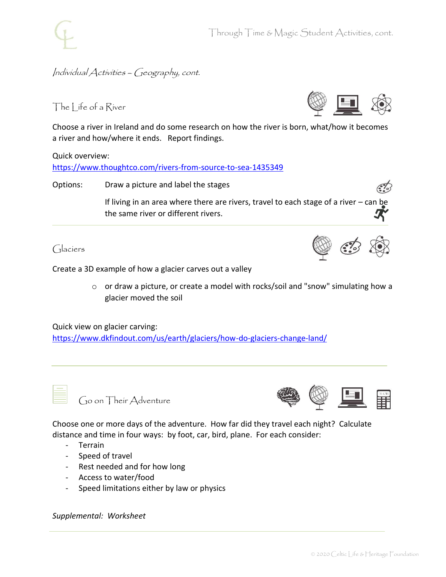#### Individual Activities – Geography, cont.

#### The Life of a River

Choose a river in Ireland and do some research on how the river is born, what/how it becomes a river and how/where it ends. Report findings.

Quick overview:

<https://www.thoughtco.com/rivers-from-source-to-sea-1435349>

Options: Draw a picture and label the stages

If living in an area where there are rivers, travel to each stage of a river – can be the same river or different rivers.

Glaciers

Create a 3D example of how a glacier carves out a valley

o or draw a picture, or create a model with rocks/soil and "snow" simulating how a glacier moved the soil

Quick view on glacier carving: <https://www.dkfindout.com/us/earth/glaciers/how-do-glaciers-change-land/>

Go on Their Adventure



Choose one or more days of the adventure. How far did they travel each night? Calculate distance and time in four ways: by foot, car, bird, plane. For each consider:

- Terrain
- Speed of travel
- Rest needed and for how long
- Access to water/food
- Speed limitations either by law or physics

*Supplemental: Worksheet*



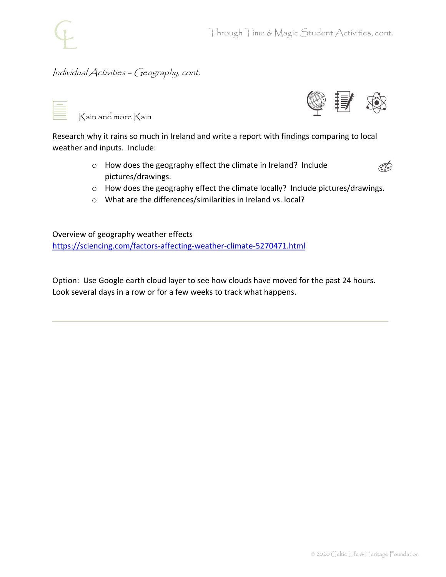#### Individual Activities – Geography, cont.

Rain and more Rain



Research why it rains so much in Ireland and write a report with findings comparing to local weather and inputs. Include:

> o How does the geography effect the climate in Ireland? Include pictures/drawings.



- o How does the geography effect the climate locally? Include pictures/drawings.
- o What are the differences/similarities in Ireland vs. local?

Overview of geography weather effects <https://sciencing.com/factors-affecting-weather-climate-5270471.html>

Option: Use Google earth cloud layer to see how clouds have moved for the past 24 hours. Look several days in a row or for a few weeks to track what happens.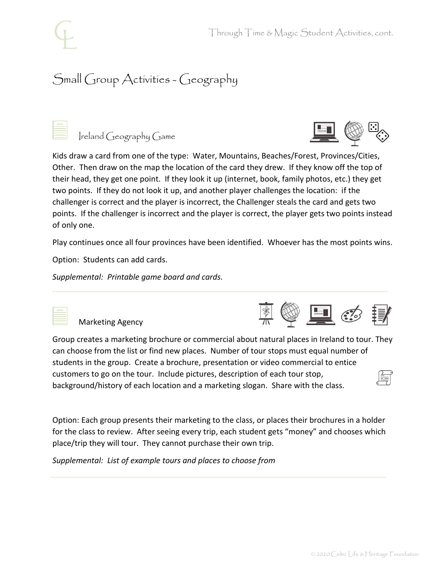## Small Group Activities - Geography



Ireland Geography Game



Kids draw a card from one of the type: Water, Mountains, Beaches/Forest, Provinces/Cities, Other. Then draw on the map the location of the card they drew. If they know off the top of their head, they get one point. If they look it up (internet, book, family photos, etc.) they get two points. If they do not look it up, and another player challenges the location: if the challenger is correct and the player is incorrect, the Challenger steals the card and gets two points. If the challenger is incorrect and the player is correct, the player gets two points instead of only one.

Play continues once all four provinces have been identified. Whoever has the most points wins.

Option: Students can add cards.

*Supplemental: Printable game board and cards.*



Marketing Agency

Group creates a marketing brochure or commercial about natural places in Ireland to tour. They can choose from the list or find new places. Number of tour stops must equal number of students in the group. Create a brochure, presentation or video commercial to entice customers to go on the tour. Include pictures, description of each tour stop, background/history of each location and a marketing slogan. Share with the class.

Option: Each group presents their marketing to the class, or places their brochures in a holder for the class to review. After seeing every trip, each student gets "money" and chooses which place/trip they will tour. They cannot purchase their own trip.

*Supplemental: List of example tours and places to choose from* 



**@ 里 - 19**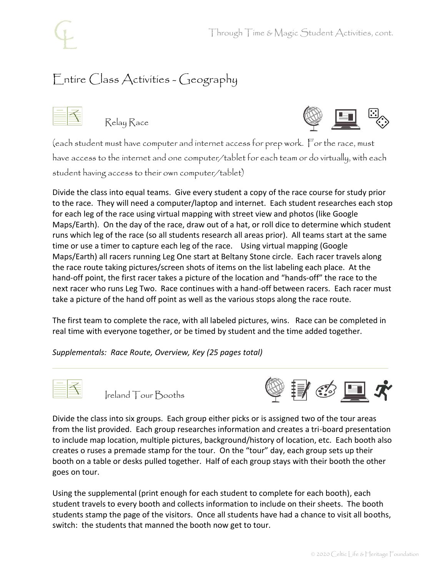# Entire Class Activities - Geography

Relay Race



(each student must have computer and internet access for prep work. For the race, must have access to the internet and one computer/tablet for each team or do virtually, with each student having access to their own computer/tablet)

Divide the class into equal teams. Give every student a copy of the race course for study prior to the race. They will need a computer/laptop and internet. Each student researches each stop for each leg of the race using virtual mapping with street view and photos (like Google Maps/Earth). On the day of the race, draw out of a hat, or roll dice to determine which student runs which leg of the race (so all students research all areas prior). All teams start at the same time or use a timer to capture each leg of the race. Using virtual mapping (Google Maps/Earth) all racers running Leg One start at Beltany Stone circle. Each racer travels along the race route taking pictures/screen shots of items on the list labeling each place. At the hand-off point, the first racer takes a picture of the location and "hands-off" the race to the next racer who runs Leg Two. Race continues with a hand-off between racers. Each racer must take a picture of the hand off point as well as the various stops along the race route.

The first team to complete the race, with all labeled pictures, wins. Race can be completed in real time with everyone together, or be timed by student and the time added together.

*Supplementals: Race Route, Overview, Key (25 pages total)*



Ireland Tour Booths



Divide the class into six groups. Each group either picks or is assigned two of the tour areas from the list provided. Each group researches information and creates a tri-board presentation to include map location, multiple pictures, background/history of location, etc. Each booth also creates o ruses a premade stamp for the tour. On the "tour" day, each group sets up their booth on a table or desks pulled together. Half of each group stays with their booth the other goes on tour.

Using the supplemental (print enough for each student to complete for each booth), each student travels to every booth and collects information to include on their sheets. The booth students stamp the page of the visitors. Once all students have had a chance to visit all booths, switch: the students that manned the booth now get to tour.